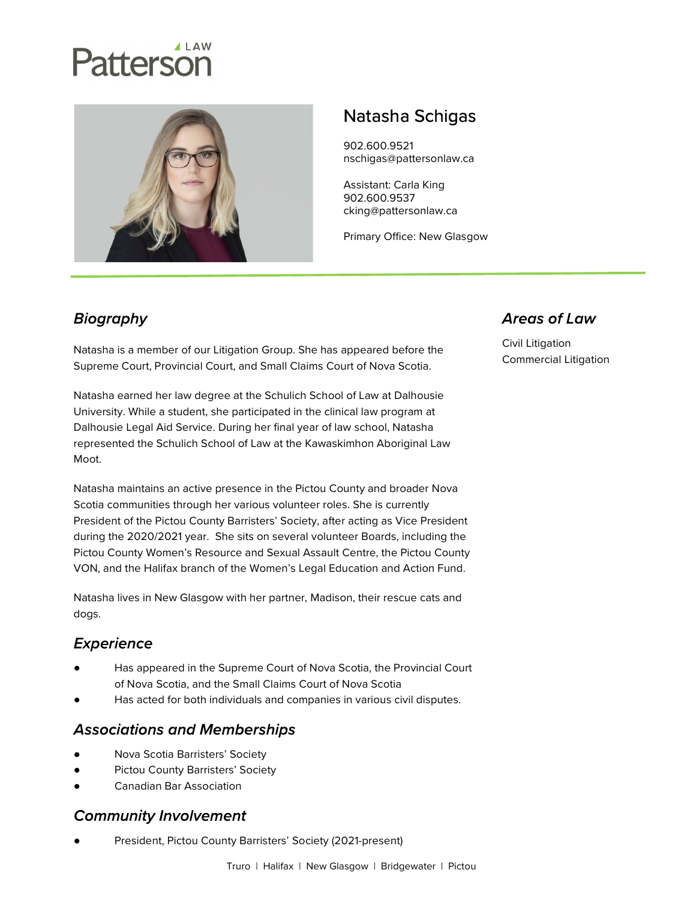# Patterson



# Natasha Schigas

902.600.9521 nschigas@pattersonlaw.ca

Assistant: Carla King 902.600.9537 cking@pattersonlaw.ca

Primary Office: New Glasgow

# **Biography**

Natasha is a member of our Litigation Group. She has appeared before the Supreme Court, Provincial Court, and Small Claims Court of Nova Scotia.

Natasha earned her law degree at the Schulich School of Law at Dalhousie University. While a student, she participated in the clinical law program at Dalhousie Legal Aid Service. During her final year of law school, Natasha represented the Schulich School of Law at the Kawaskimhon Aboriginal Law Moot.

Natasha maintains an active presence in the Pictou County and broader Nova Scotia communities through her various volunteer roles. She is currently President of the Pictou County Barristers' Society, after acting as Vice President during the 2020/2021 year. She sits on several volunteer Boards, including the Pictou County Women's Resource and Sexual Assault Centre, the Pictou County VON, and the Halifax branch of the Women's Legal Education and Action Fund.

Natasha lives in New Glasgow with her partner, Madison, their rescue cats and dogs.

### **Experience**

- Has appeared in the Supreme Court of Nova Scotia, the Provincial Court of Nova Scotia, and the Small Claims Court of Nova Scotia
- Has acted for both individuals and companies in various civil disputes.

#### **Associations and Memberships**

- Nova Scotia Barristers' Society
- Pictou County Barristers' Society
- Canadian Bar Association

#### **Community Involvement**

President, Pictou County Barristers' Society (2021-present)

## **Areas of Law**

Civil Litigation Commercial Litigation